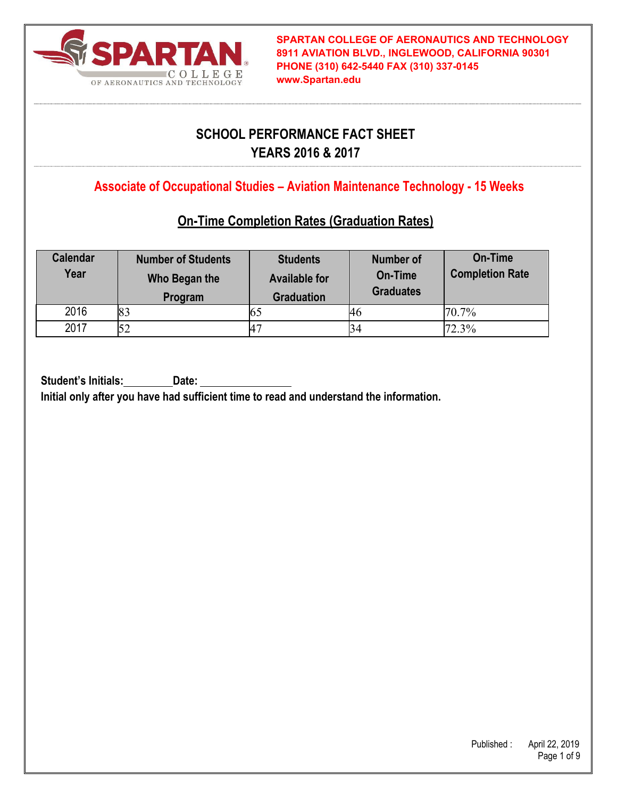

## **SCHOOL PERFORMANCE FACT SHEET YEARS 2016 & 2017**

**Associate of Occupational Studies – Aviation Maintenance Technology - 15 Weeks**

## **On-Time Completion Rates (Graduation Rates)**

| <b>Calendar</b><br>Year | <b>Number of Students</b><br>Who Began the<br>Program | <b>Students</b><br><b>Available for</b><br><b>Graduation</b> | <b>Number of</b><br>On-Time<br><b>Graduates</b> | On-Time<br><b>Completion Rate</b> |
|-------------------------|-------------------------------------------------------|--------------------------------------------------------------|-------------------------------------------------|-----------------------------------|
| 2016                    | 83                                                    |                                                              | 46                                              | 70.7%                             |
| 2017                    |                                                       | 47                                                           | 34                                              | 72.3%                             |

Student's Initials: Date: **Initial only after you have had sufficient time to read and understand the information.**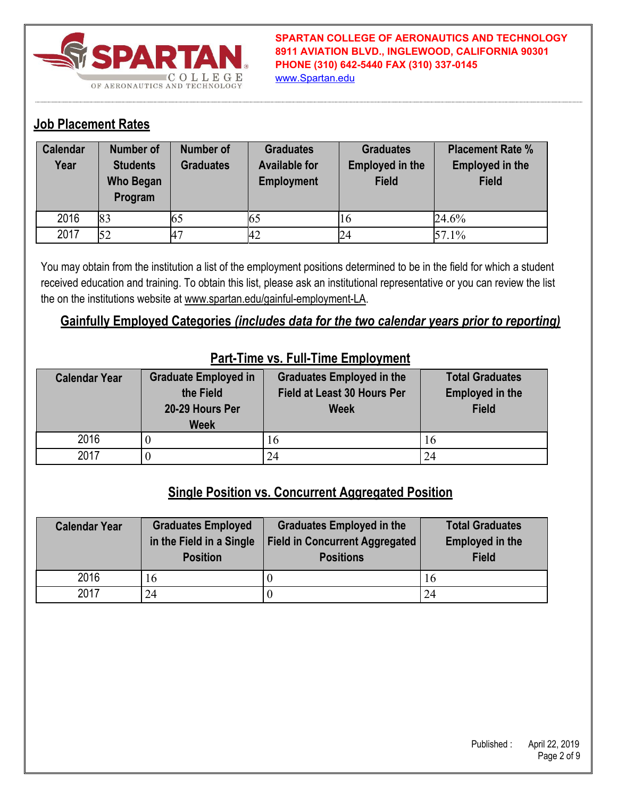

### **Job Placement Rates**

| <b>Calendar</b><br>Year | <b>Number of</b><br><b>Students</b><br><b>Who Began</b><br>Program | Number of<br><b>Graduates</b> | <b>Graduates</b><br><b>Available for</b><br><b>Employment</b> | <b>Graduates</b><br><b>Employed in the</b><br><b>Field</b> | <b>Placement Rate %</b><br><b>Employed in the</b><br><b>Field</b> |
|-------------------------|--------------------------------------------------------------------|-------------------------------|---------------------------------------------------------------|------------------------------------------------------------|-------------------------------------------------------------------|
| 2016                    | 83                                                                 | ЮJ                            | 65                                                            | 16                                                         | 24.6%                                                             |
| 2017                    | 52                                                                 | A7                            | 42                                                            | 24                                                         | 57.1%                                                             |

You may obtain from the institution a list of the employment positions determined to be in the field for which a student received education and training. To obtain this list, please ask an institutional representative or you can review the list the on the institutions website at www.spartan.edu/gainful-employment-LA.

### **Gainfully Employed Categories** *(includes data for the two calendar years prior to reporting)*

| <b>Graduate Employed in</b><br><b>Calendar Year</b> |                 | <b>Graduates Employed in the</b> | <b>Total Graduates</b> |
|-----------------------------------------------------|-----------------|----------------------------------|------------------------|
|                                                     | the Field       | Field at Least 30 Hours Per      | <b>Employed in the</b> |
|                                                     | 20-29 Hours Per | <b>Week</b>                      | <b>Field</b>           |
|                                                     | <b>Week</b>     |                                  |                        |
| 2016                                                |                 | 16                               | 16                     |
| 2017                                                |                 | 24                               | 24                     |

#### **Part-Time vs. Full-Time Employment**

#### **Single Position vs. Concurrent Aggregated Position**

| <b>Calendar Year</b> | <b>Graduates Employed</b><br>in the Field in a Single<br><b>Position</b> | <b>Graduates Employed in the</b><br><b>Field in Concurrent Aggregated</b><br><b>Positions</b> | <b>Total Graduates</b><br><b>Employed in the</b><br><b>Field</b> |
|----------------------|--------------------------------------------------------------------------|-----------------------------------------------------------------------------------------------|------------------------------------------------------------------|
| 2016                 | 16                                                                       |                                                                                               | 16                                                               |
| 2017                 | 24                                                                       |                                                                                               | 24                                                               |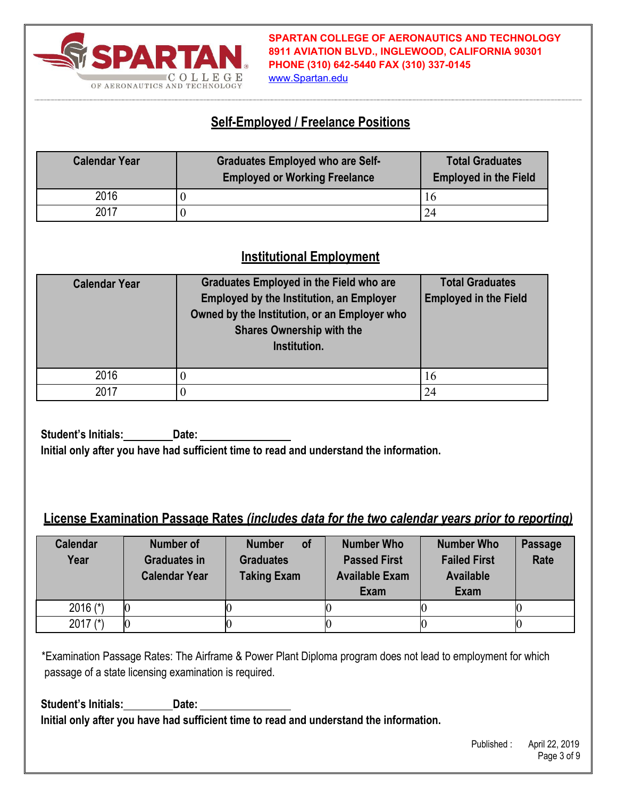

#### www.Spartan.edu

### **Self-Employed / Freelance Positions**

| <b>Calendar Year</b> | <b>Graduates Employed who are Self-</b><br><b>Employed or Working Freelance</b> | <b>Total Graduates</b><br><b>Employed in the Field</b> |
|----------------------|---------------------------------------------------------------------------------|--------------------------------------------------------|
| 2016                 |                                                                                 | 16                                                     |
| 2017                 |                                                                                 |                                                        |

# **Institutional Employment**

| <b>Calendar Year</b> | Graduates Employed in the Field who are<br><b>Employed by the Institution, an Employer</b><br>Owned by the Institution, or an Employer who<br><b>Shares Ownership with the</b><br>Institution. | <b>Total Graduates</b><br><b>Employed in the Field</b> |
|----------------------|------------------------------------------------------------------------------------------------------------------------------------------------------------------------------------------------|--------------------------------------------------------|
| 2016                 |                                                                                                                                                                                                | 16                                                     |
| 2017                 |                                                                                                                                                                                                | 24                                                     |

**Student's Initials: Date: Initial only after you have had sufficient time to read and understand the information.** 

### **License Examination Passage Rates** *(includes data for the two calendar years prior to reporting)*

| <b>Calendar</b><br>Year | Number of<br><b>Graduates in</b><br><b>Calendar Year</b> | <b>of</b><br><b>Number</b><br><b>Graduates</b><br><b>Taking Exam</b> | <b>Number Who</b><br><b>Passed First</b><br><b>Available Exam</b><br>Exam | <b>Number Who</b><br><b>Failed First</b><br><b>Available</b><br><b>Exam</b> | <b>Passage</b><br>Rate |
|-------------------------|----------------------------------------------------------|----------------------------------------------------------------------|---------------------------------------------------------------------------|-----------------------------------------------------------------------------|------------------------|
| 2016 $(*)$              |                                                          |                                                                      |                                                                           |                                                                             |                        |
| 2017 $(*)$              |                                                          |                                                                      |                                                                           |                                                                             |                        |

\*Examination Passage Rates: The Airframe & Power Plant Diploma program does not lead to employment for which passage of a state licensing examination is required.

**Student's Initials: Date: Initial only after you have had sufficient time to read and understand the information.**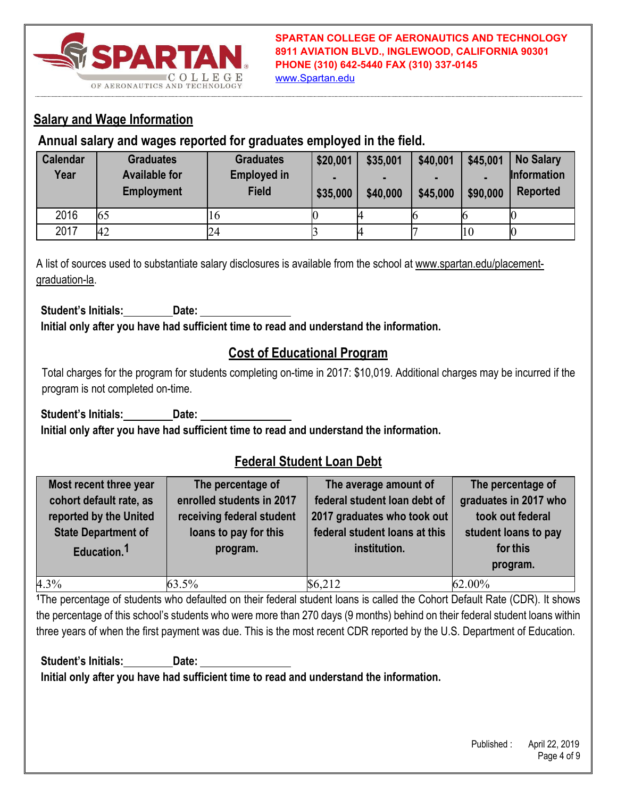

www.Spartan.edu

## **Salary and Wage Information**

### **Annual salary and wages reported for graduates employed in the field.**

| <b>Calendar</b><br>Year | <b>Graduates</b><br><b>Available for</b><br><b>Employment</b> | <b>Graduates</b><br><b>Employed in</b><br><b>Field</b> | \$20,001<br>-<br>\$35,000 | \$35,001<br>\$40,000 | \$40,001<br>-<br>\$45,000 | \$45,001<br>\$90,000 | <b>No Salary</b><br><b>Information</b><br><b>Reported</b> |
|-------------------------|---------------------------------------------------------------|--------------------------------------------------------|---------------------------|----------------------|---------------------------|----------------------|-----------------------------------------------------------|
| 2016                    | 65                                                            | II 6                                                   |                           |                      |                           |                      |                                                           |
| 2017                    | 42                                                            | 24                                                     |                           |                      |                           | 10                   |                                                           |

A list of sources used to substantiate salary disclosures is available from the school at www.spartan.edu/placementgraduation-la.

**Student's Initials: Date: Initial only after you have had sufficient time to read and understand the information.** 

## **Cost of Educational Program**

Total charges for the program for students completing on-time in 2017: \$10,019. Additional charges may be incurred if the program is not completed on-time.

Student's Initials: Date: **Initial only after you have had sufficient time to read and understand the information.** 

## **Federal Student Loan Debt**

| Most recent three year<br>cohort default rate, as<br>reported by the United<br><b>State Department of</b><br>Education. <sup>1</sup> | The percentage of<br>enrolled students in 2017<br>receiving federal student<br>loans to pay for this<br>program. | The average amount of<br>federal student loan debt of<br>2017 graduates who took out<br>federal student loans at this<br>institution. | The percentage of<br>graduates in 2017 who<br>took out federal<br>student loans to pay<br>for this<br>program. |
|--------------------------------------------------------------------------------------------------------------------------------------|------------------------------------------------------------------------------------------------------------------|---------------------------------------------------------------------------------------------------------------------------------------|----------------------------------------------------------------------------------------------------------------|
| 4.3%                                                                                                                                 | 63.5%                                                                                                            | \$6,212                                                                                                                               | 62.00%                                                                                                         |

**<sup>1</sup>**The percentage of students who defaulted on their federal student loans is called the Cohort Default Rate (CDR). It shows the percentage of this school's students who were more than 270 days (9 months) behind on their federal student loans within three years of when the first payment was due. This is the most recent CDR reported by the U.S. Department of Education.

**Student's Initials: Date: Initial only after you have had sufficient time to read and understand the information.**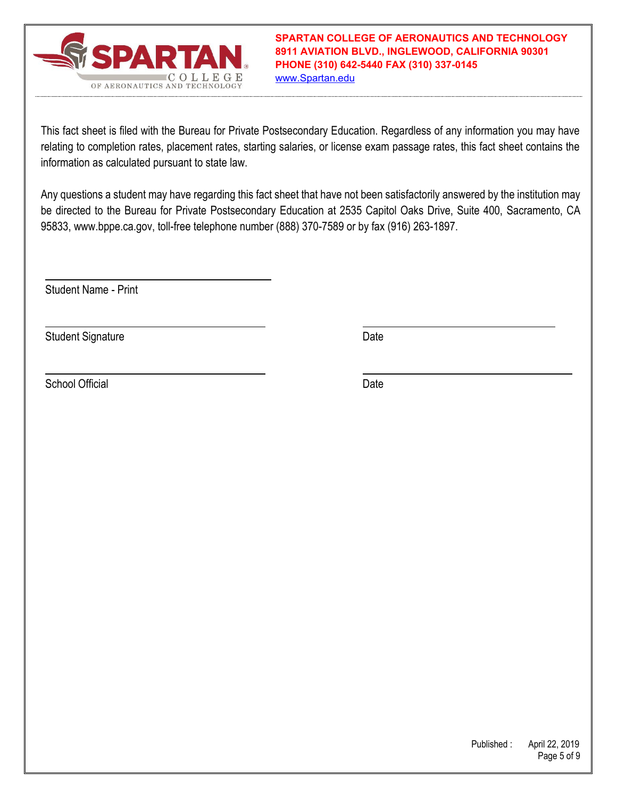

This fact sheet is filed with the Bureau for Private Postsecondary Education. Regardless of any information you may have relating to completion rates, placement rates, starting salaries, or license exam passage rates, this fact sheet contains the information as calculated pursuant to state law.

Any questions a student may have regarding this fact sheet that have not been satisfactorily answered by the institution may be directed to the Bureau for Private Postsecondary Education at 2535 Capitol Oaks Drive, Suite 400, Sacramento, CA 95833, www.bppe.ca.gov, toll-free telephone number (888) 370-7589 or by fax (916) 263-1897.

Student Name - Print

Student Signature Date Date Controller and Date Date Date

School Official Date Date Control of the Date Date Date Date Date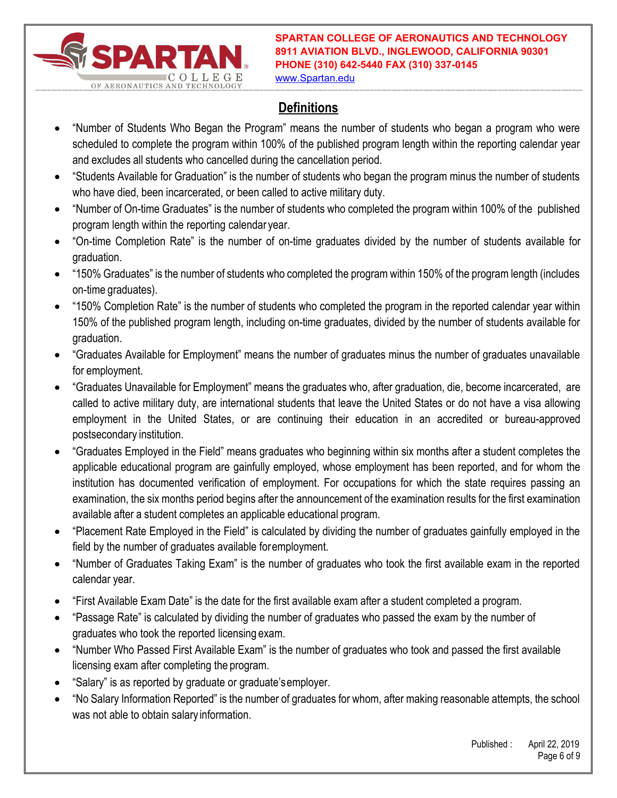

www.Spartan.edu

# **Definitions**

- "Number of Students Who Began the Program" means the number of students who began a program who were scheduled to complete the program within 100% of the published program length within the reporting calendar year and excludes all students who cancelled during the cancellation period.
- "Students Available for Graduation" is the number of students who began the program minus the number of students who have died, been incarcerated, or been called to active military duty.
- "Number of On-time Graduates" is the number of students who completed the program within 100% of the published program length within the reporting calendar year.
- "On-time Completion Rate" is the number of on-time graduates divided by the number of students available for graduation.
- "150% Graduates" is the number of students who completed the program within 150% of the program length (includes on-time graduates).
- "150% Completion Rate" is the number of students who completed the program in the reported calendar year within 150% of the published program length, including on-time graduates, divided by the number of students available for graduation.
- "Graduates Available for Employment" means the number of graduates minus the number of graduates unavailable for employment.
- "Graduates Unavailable for Employment" means the graduates who, after graduation, die, become incarcerated, are called to active military duty, are international students that leave the United States or do not have a visa allowing employment in the United States, or are continuing their education in an accredited or bureau-approved postsecondary institution.
- "Graduates Employed in the Field" means graduates who beginning within six months after a student completes the applicable educational program are gainfully employed, whose employment has been reported, and for whom the institution has documented verification of employment. For occupations for which the state requires passing an examination, the six months period begins after the announcement of the examination results for the first examination available after a student completes an applicable educational program.
- "Placement Rate Employed in the Field" is calculated by dividing the number of graduates gainfully employed in the field by the number of graduates available for employment.
- "Number of Graduates Taking Exam" is the number of graduates who took the first available exam in the reported calendar year.
- "First Available Exam Date" is the date for the first available exam after a student completed a program.
- "Passage Rate" is calculated by dividing the number of graduates who passed the exam by the number of graduates who took the reported licensing exam.
- "Number Who Passed First Available Exam" is the number of graduates who took and passed the first available licensing exam after completing the program.
- "Salary" is as reported by graduate or graduate's employer.
- "No Salary Information Reported" is the number of graduates for whom, after making reasonable attempts, the school was not able to obtain salary information.